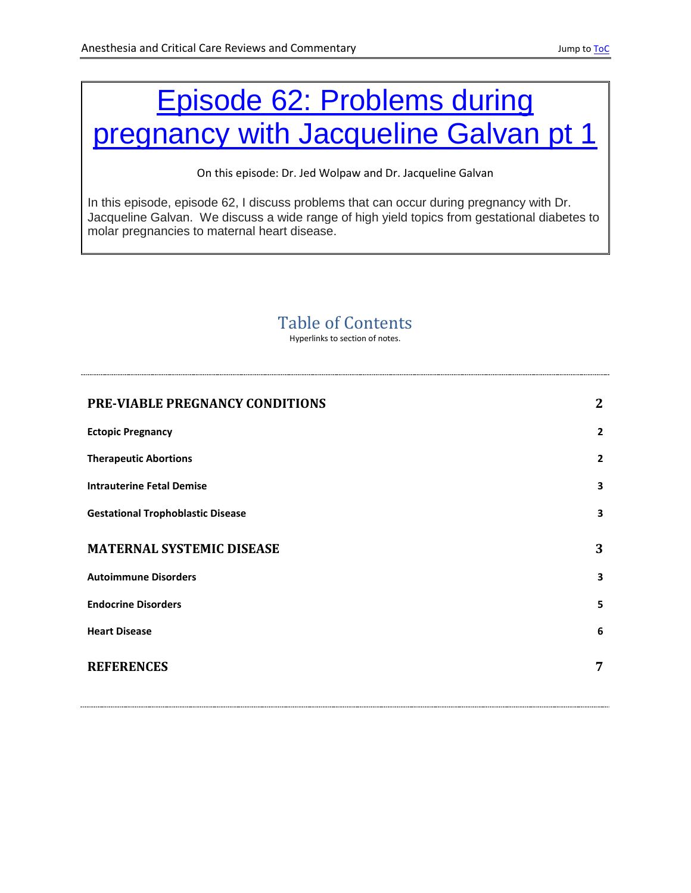# <span id="page-0-0"></span>[Episode 62: Problems during](http://accrac.com/episode-62-problems-during-pregnancy-with-jacqueline-galvan/)  [pregnancy with Jacqueline Galvan pt 1](http://accrac.com/episode-62-problems-during-pregnancy-with-jacqueline-galvan/)

On this episode: Dr. Jed Wolpaw and Dr. Jacqueline Galvan

In this episode, episode 62, I discuss problems that can occur during pregnancy with Dr. Jacqueline Galvan. We discuss a wide range of high yield topics from gestational diabetes to molar pregnancies to maternal heart disease.

### Table of Contents

Hyperlinks to section of notes.

| PRE-VIABLE PREGNANCY CONDITIONS          | 2              |
|------------------------------------------|----------------|
| <b>Ectopic Pregnancy</b>                 | $\overline{2}$ |
| <b>Therapeutic Abortions</b>             | $\overline{2}$ |
| <b>Intrauterine Fetal Demise</b>         | 3              |
| <b>Gestational Trophoblastic Disease</b> | 3              |
| <b>MATERNAL SYSTEMIC DISEASE</b>         | 3              |
| <b>Autoimmune Disorders</b>              | 3              |
| <b>Endocrine Disorders</b>               | 5              |
| <b>Heart Disease</b>                     | 6              |
| <b>REFERENCES</b>                        | 7              |
|                                          |                |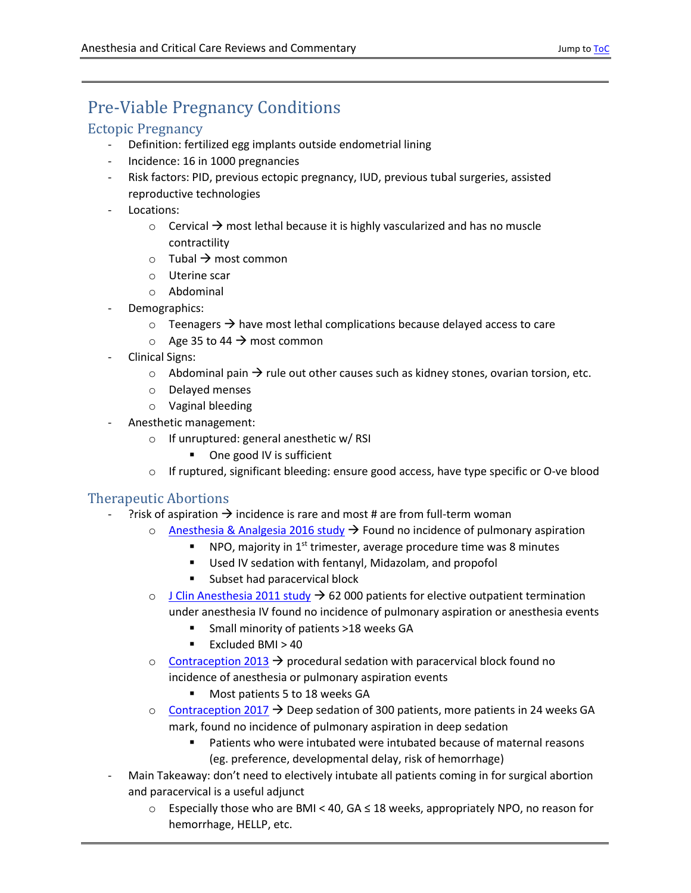## <span id="page-1-0"></span>Pre-Viable Pregnancy Conditions

### <span id="page-1-1"></span>Ectopic Pregnancy

- Definition: fertilized egg implants outside endometrial lining
- Incidence: 16 in 1000 pregnancies
- Risk factors: PID, previous ectopic pregnancy, IUD, previous tubal surgeries, assisted reproductive technologies
- Locations:
	- $\circ$  Cervical  $\rightarrow$  most lethal because it is highly vascularized and has no muscle contractility
	- $\circ$  Tubal  $\rightarrow$  most common
	- o Uterine scar
	- o Abdominal
- Demographics:
	- $\circ$  Teenagers  $\rightarrow$  have most lethal complications because delayed access to care
	- $\circ$  Age 35 to 44  $\rightarrow$  most common
- Clinical Signs:
	- $\circ$  Abdominal pain  $\rightarrow$  rule out other causes such as kidney stones, ovarian torsion, etc.
	- o Delayed menses
	- o Vaginal bleeding
	- Anesthetic management:
		- o If unruptured: general anesthetic w/ RSI
			- One good IV is sufficient
		- $\circ$  If ruptured, significant bleeding: ensure good access, have type specific or O-ve blood

### <span id="page-1-2"></span>Therapeutic Abortions

- ?risk of aspiration  $\rightarrow$  incidence is rare and most # are from full-term woman
	- $\circ$  Anesthesia & [Analgesia 2016 study](https://pubmed.ncbi.nlm.nih.gov/27177015/)  $\rightarrow$  Found no incidence of pulmonary aspiration
		- $\blacksquare$  NPO, majority in 1<sup>st</sup> trimester, average procedure time was 8 minutes
		- **Used IV sedation with fentanyl, Midazolam, and propofol**
		- **Subset had paracervical block**
	- $\circ$  [J Clin Anesthesia 2011 study](https://pubmed.ncbi.nlm.nih.gov/21831622/)  $\rightarrow$  62 000 patients for elective outpatient termination under anesthesia IV found no incidence of pulmonary aspiration or anesthesia events
		- Small minority of patients >18 weeks GA
		- Excluded BMI > 40
	- $\circ$  [Contraception 2013](https://pubmed.ncbi.nlm.nih.gov/22840276/#affiliation-1)  $\rightarrow$  procedural sedation with paracervical block found no incidence of anesthesia or pulmonary aspiration events
		- **Most patients 5 to 18 weeks GA**
	- $\circ$  [Contraception 2017](https://www.sciencedirect.com/science/article/pii/S0010782415302146?via%3Dihub)  $\rightarrow$  Deep sedation of 300 patients, more patients in 24 weeks GA mark, found no incidence of pulmonary aspiration in deep sedation
		- Patients who were intubated were intubated because of maternal reasons (eg. preference, developmental delay, risk of hemorrhage)
- Main Takeaway: don't need to electively intubate all patients coming in for surgical abortion and paracervical is a useful adjunct
	- o Especially those who are BMI < 40, GA ≤ 18 weeks, appropriately NPO, no reason for hemorrhage, HELLP, etc.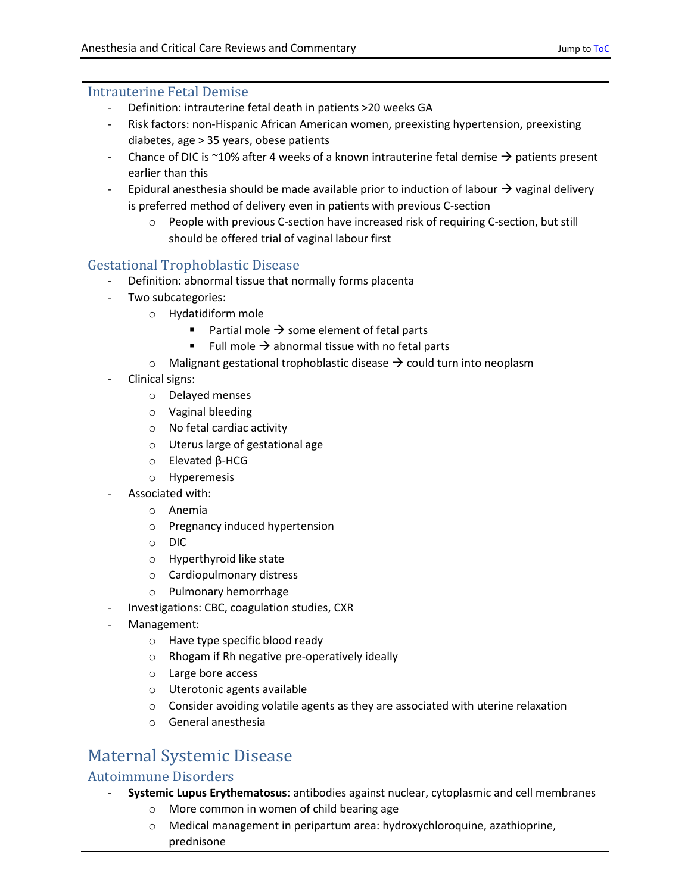### <span id="page-2-0"></span>Intrauterine Fetal Demise

- Definition: intrauterine fetal death in patients >20 weeks GA
- Risk factors: non-Hispanic African American women, preexisting hypertension, preexisting diabetes, age > 35 years, obese patients
- Chance of DIC is ~10% after 4 weeks of a known intrauterine fetal demise  $\rightarrow$  patients present earlier than this
- Epidural anesthesia should be made available prior to induction of labour  $\rightarrow$  vaginal delivery is preferred method of delivery even in patients with previous C-section
	- o People with previous C-section have increased risk of requiring C-section, but still should be offered trial of vaginal labour first

### <span id="page-2-1"></span>Gestational Trophoblastic Disease

- Definition: abnormal tissue that normally forms placenta
- Two subcategories:
	- o Hydatidiform mole
		- Partial mole  $\rightarrow$  some element of fetal parts
		- Full mole  $\rightarrow$  abnormal tissue with no fetal parts
	- $\circ$  Malignant gestational trophoblastic disease  $\rightarrow$  could turn into neoplasm
- Clinical signs:
	- o Delayed menses
	- o Vaginal bleeding
	- o No fetal cardiac activity
	- o Uterus large of gestational age
	- o Elevated β-HCG
	- o Hyperemesis
- Associated with:
	- o Anemia
	- o Pregnancy induced hypertension
	- o DIC
	- o Hyperthyroid like state
	- o Cardiopulmonary distress
	- o Pulmonary hemorrhage
- Investigations: CBC, coagulation studies, CXR
- Management:
	- o Have type specific blood ready
	- o Rhogam if Rh negative pre-operatively ideally
	- o Large bore access
	- o Uterotonic agents available
	- o Consider avoiding volatile agents as they are associated with uterine relaxation
	- o General anesthesia

### <span id="page-2-2"></span>Maternal Systemic Disease

### <span id="page-2-3"></span>Autoimmune Disorders

- **Systemic Lupus Erythematosus**: antibodies against nuclear, cytoplasmic and cell membranes
	- o More common in women of child bearing age
	- o Medical management in peripartum area: hydroxychloroquine, azathioprine, prednisone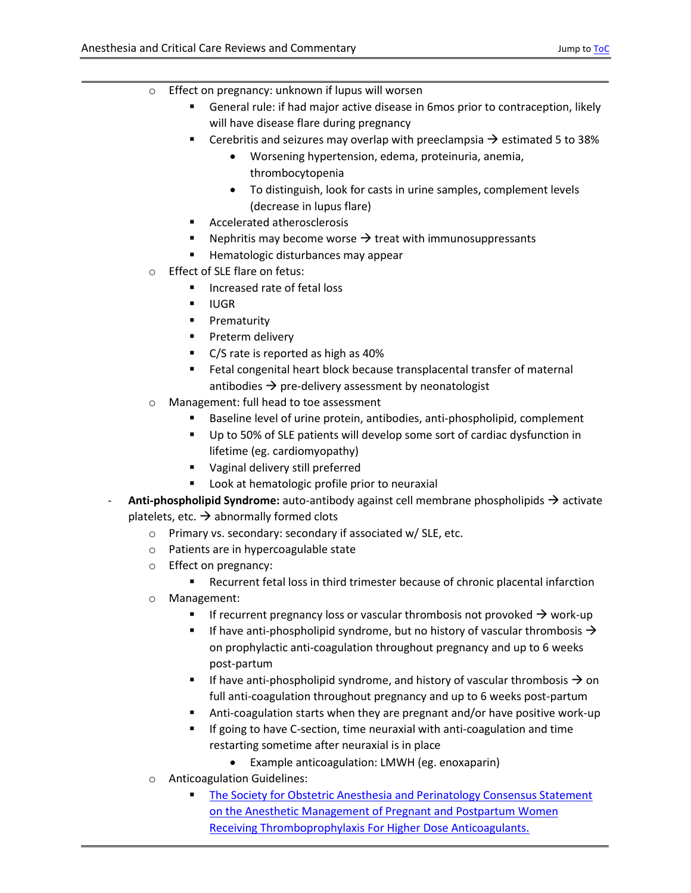- o Effect on pregnancy: unknown if lupus will worsen
	- General rule: if had major active disease in 6mos prior to contraception, likely will have disease flare during pregnancy
	- **EXECO** Cerebritis and seizures may overlap with preeclampsia  $\rightarrow$  estimated 5 to 38%
		- Worsening hypertension, edema, proteinuria, anemia, thrombocytopenia
		- To distinguish, look for casts in urine samples, complement levels (decrease in lupus flare)
	- **Accelerated atherosclerosis**
	- Nephritis may become worse  $\rightarrow$  treat with immunosuppressants
	- **Hematologic disturbances may appear**
- o Effect of SLE flare on fetus:
	- **Increased rate of fetal loss**
	- IUGR
	- **Prematurity**
	- **Preterm delivery**
	- C/S rate is reported as high as 40%
	- Fetal congenital heart block because transplacental transfer of maternal antibodies  $\rightarrow$  pre-delivery assessment by neonatologist
- o Management: full head to toe assessment
	- Baseline level of urine protein, antibodies, anti-phospholipid, complement
	- Up to 50% of SLE patients will develop some sort of cardiac dysfunction in lifetime (eg. cardiomyopathy)
	- **Vaginal delivery still preferred**
	- **Look at hematologic profile prior to neuraxial**
- **Anti-phospholipid Syndrome:** auto-antibody against cell membrane phospholipids  $\rightarrow$  activate platelets, etc.  $\rightarrow$  abnormally formed clots
	- o Primary vs. secondary: secondary if associated w/ SLE, etc.
	- o Patients are in hypercoagulable state
	- o Effect on pregnancy:
		- Recurrent fetal loss in third trimester because of chronic placental infarction
	- o Management:
		- If recurrent pregnancy loss or vascular thrombosis not provoked  $\rightarrow$  work-up
		- If have anti-phospholipid syndrome, but no history of vascular thrombosis  $\rightarrow$ on prophylactic anti-coagulation throughout pregnancy and up to 6 weeks post-partum
		- If have anti-phospholipid syndrome, and history of vascular thrombosis  $\rightarrow$  on full anti-coagulation throughout pregnancy and up to 6 weeks post-partum
		- Anti-coagulation starts when they are pregnant and/or have positive work-up
		- **If going to have C-section, time neuraxial with anti-coagulation and time** restarting sometime after neuraxial is in place
			- Example anticoagulation: LMWH (eg. enoxaparin)
	- o Anticoagulation Guidelines:
		- [The Society for Obstetric Anesthesia and Perinatology Consensus Statement](https://pubmed.ncbi.nlm.nih.gov/29099429/)  [on the Anesthetic Management of Pregnant and Postpartum](https://pubmed.ncbi.nlm.nih.gov/29099429/) Women Receiving Thromboprophylaxis [For Higher Dose Anticoagulants.](https://pubmed.ncbi.nlm.nih.gov/29099429/)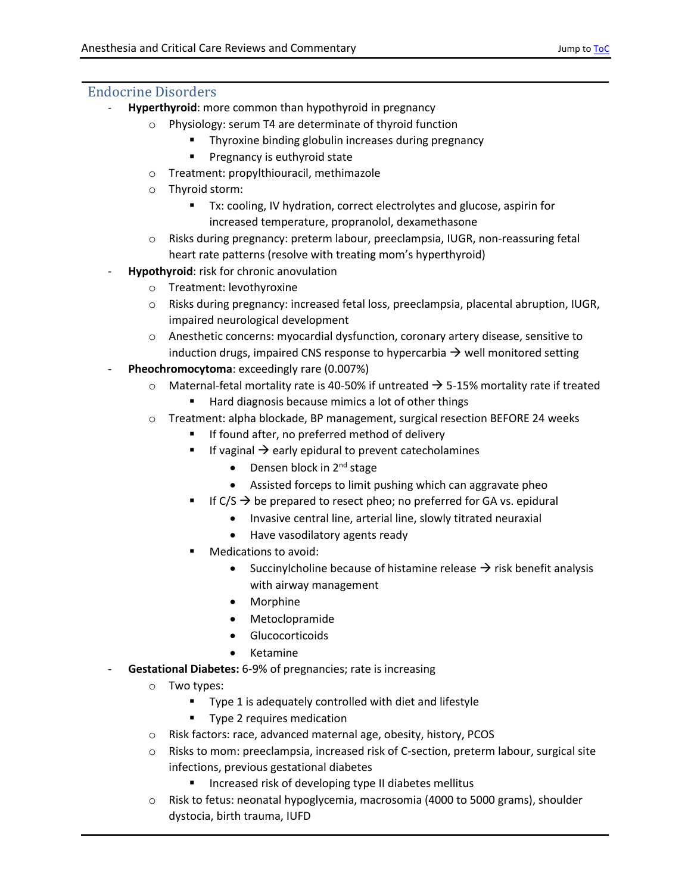### <span id="page-4-0"></span>Endocrine Disorders

- **Hyperthyroid**: more common than hypothyroid in pregnancy
	- o Physiology: serum T4 are determinate of thyroid function
		- Thyroxine binding globulin increases during pregnancy
		- **Pregnancy is euthyroid state**
	- o Treatment: propylthiouracil, methimazole
	- o Thyroid storm:
		- Tx: cooling, IV hydration, correct electrolytes and glucose, aspirin for increased temperature, propranolol, dexamethasone
	- o Risks during pregnancy: preterm labour, preeclampsia, IUGR, non-reassuring fetal heart rate patterns (resolve with treating mom's hyperthyroid)
- **Hypothyroid**: risk for chronic anovulation
	- o Treatment: levothyroxine
	- o Risks during pregnancy: increased fetal loss, preeclampsia, placental abruption, IUGR, impaired neurological development
	- o Anesthetic concerns: myocardial dysfunction, coronary artery disease, sensitive to induction drugs, impaired CNS response to hypercarbia  $\rightarrow$  well monitored setting
- **Pheochromocytoma**: exceedingly rare (0.007%)
	- $\circ$  Maternal-fetal mortality rate is 40-50% if untreated  $\rightarrow$  5-15% mortality rate if treated
		- Hard diagnosis because mimics a lot of other things
	- o Treatment: alpha blockade, BP management, surgical resection BEFORE 24 weeks
		- If found after, no preferred method of delivery
		- If vaginal  $\rightarrow$  early epidural to prevent catecholamines
			- $\bullet$  Densen block in 2<sup>nd</sup> stage
			- Assisted forceps to limit pushing which can aggravate pheo
		- If C/S  $\rightarrow$  be prepared to resect pheo; no preferred for GA vs. epidural
			- Invasive central line, arterial line, slowly titrated neuraxial
			- Have vasodilatory agents ready
		- Medications to avoid:
			- Succinylcholine because of histamine release  $\rightarrow$  risk benefit analysis with airway management
			- Morphine
			- Metoclopramide
			- Glucocorticoids
			- Ketamine
- **Gestational Diabetes:** 6-9% of pregnancies; rate is increasing
	- o Two types:
		- Type 1 is adequately controlled with diet and lifestyle
		- Type 2 requires medication
	- o Risk factors: race, advanced maternal age, obesity, history, PCOS
	- $\circ$  Risks to mom: preeclampsia, increased risk of C-section, preterm labour, surgical site infections, previous gestational diabetes
		- **Increased risk of developing type II diabetes mellitus**
	- o Risk to fetus: neonatal hypoglycemia, macrosomia (4000 to 5000 grams), shoulder dystocia, birth trauma, IUFD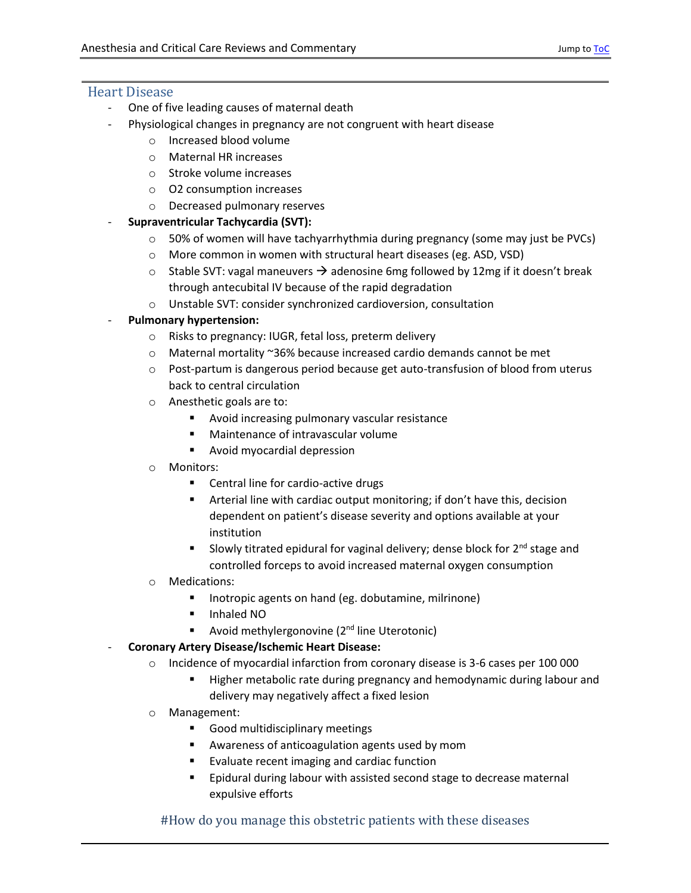#### <span id="page-5-0"></span>Heart Disease

- One of five leading causes of maternal death
- Physiological changes in pregnancy are not congruent with heart disease
	- o Increased blood volume
	- o Maternal HR increases
	- o Stroke volume increases
	- o O2 consumption increases
	- o Decreased pulmonary reserves
- **Supraventricular Tachycardia (SVT):**
	- $\circ$  50% of women will have tachyarrhythmia during pregnancy (some may just be PVCs)
	- o More common in women with structural heart diseases (eg. ASD, VSD)
	- $\circ$  Stable SVT: vagal maneuvers  $\rightarrow$  adenosine 6mg followed by 12mg if it doesn't break through antecubital IV because of the rapid degradation
	- o Unstable SVT: consider synchronized cardioversion, consultation

#### - **Pulmonary hypertension:**

- o Risks to pregnancy: IUGR, fetal loss, preterm delivery
- o Maternal mortality ~36% because increased cardio demands cannot be met
- $\circ$  Post-partum is dangerous period because get auto-transfusion of blood from uterus back to central circulation
- o Anesthetic goals are to:
	- **Avoid increasing pulmonary vascular resistance**
	- **Maintenance of intravascular volume**
	- Avoid myocardial depression
- o Monitors:
	- Central line for cardio-active drugs
	- **E** Arterial line with cardiac output monitoring; if don't have this, decision dependent on patient's disease severity and options available at your institution
	- Slowly titrated epidural for vaginal delivery; dense block for  $2<sup>nd</sup>$  stage and controlled forceps to avoid increased maternal oxygen consumption
- o Medications:
	- **IFM** Inotropic agents on hand (eg. dobutamine, milrinone)
	- **Inhaled NO**
	- Avoid methylergonovine  $(2^{nd})$  line Uterotonic)
- **Coronary Artery Disease/Ischemic Heart Disease:**
	- o Incidence of myocardial infarction from coronary disease is 3-6 cases per 100 000
		- Higher metabolic rate during pregnancy and hemodynamic during labour and delivery may negatively affect a fixed lesion
	- o Management:
		- Good multidisciplinary meetings
		- Awareness of anticoagulation agents used by mom
		- Evaluate recent imaging and cardiac function
		- Epidural during labour with assisted second stage to decrease maternal expulsive efforts

#### #How do you manage this obstetric patients with these diseases